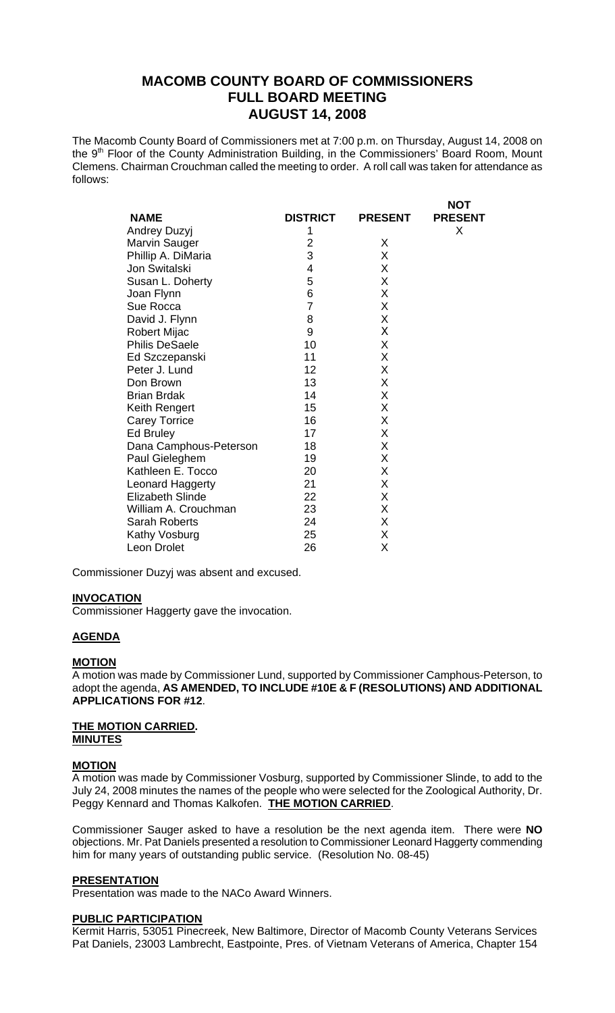# **MACOMB COUNTY BOARD OF COMMISSIONERS FULL BOARD MEETING AUGUST 14, 2008**

The Macomb County Board of Commissioners met at 7:00 p.m. on Thursday, August 14, 2008 on the 9<sup>th</sup> Floor of the County Administration Building, in the Commissioners' Board Room, Mount Clemens. Chairman Crouchman called the meeting to order. A roll call was taken for attendance as follows:

 $\mathbf{N}$ 

|                         |                 |                | NUI            |
|-------------------------|-----------------|----------------|----------------|
| <b>NAME</b>             | <b>DISTRICT</b> | <b>PRESENT</b> | <b>PRESENT</b> |
| Andrey Duzyj            | 1               |                | Χ              |
| Marvin Sauger           | 2               | X              |                |
| Phillip A. DiMaria      | 3               | X              |                |
| Jon Switalski           | 4               | X              |                |
| Susan L. Doherty        | 5               | X              |                |
| Joan Flynn              | 6               | X              |                |
| Sue Rocca               | $\overline{7}$  | X              |                |
| David J. Flynn          | 8               | X              |                |
| Robert Mijac            | 9               | Χ              |                |
| <b>Philis DeSaele</b>   | 10              | X              |                |
| Ed Szczepanski          | 11              | X              |                |
| Peter J. Lund           | 12              | X              |                |
| Don Brown               | 13              | X              |                |
| <b>Brian Brdak</b>      | 14              | Χ              |                |
| Keith Rengert           | 15              | X              |                |
| <b>Carey Torrice</b>    | 16              | X              |                |
| Ed Bruley               | 17              | Χ              |                |
| Dana Camphous-Peterson  | 18              | X              |                |
| Paul Gieleghem          | 19              | X              |                |
| Kathleen E. Tocco       | 20              | X              |                |
| Leonard Haggerty        | 21              | X              |                |
| <b>Elizabeth Slinde</b> | 22              | X              |                |
| William A. Crouchman    | 23              | X              |                |
| <b>Sarah Roberts</b>    | 24              | X              |                |
| Kathy Vosburg           | 25              | X              |                |
| Leon Drolet             | 26              | X              |                |

Commissioner Duzyj was absent and excused.

#### **INVOCATION**

Commissioner Haggerty gave the invocation.

## **AGENDA**

#### **MOTION**

A motion was made by Commissioner Lund, supported by Commissioner Camphous-Peterson, to adopt the agenda, **AS AMENDED, TO INCLUDE #10E & F (RESOLUTIONS) AND ADDITIONAL APPLICATIONS FOR #12**.

#### **THE MOTION CARRIED. MINUTES**

#### **MOTION**

A motion was made by Commissioner Vosburg, supported by Commissioner Slinde, to add to the July 24, 2008 minutes the names of the people who were selected for the Zoological Authority, Dr. Peggy Kennard and Thomas Kalkofen. **THE MOTION CARRIED**.

Commissioner Sauger asked to have a resolution be the next agenda item. There were **NO** objections. Mr. Pat Daniels presented a resolution to Commissioner Leonard Haggerty commending him for many years of outstanding public service. (Resolution No. 08-45)

#### **PRESENTATION**

Presentation was made to the NACo Award Winners.

#### **PUBLIC PARTICIPATION**

Kermit Harris, 53051 Pinecreek, New Baltimore, Director of Macomb County Veterans Services Pat Daniels, 23003 Lambrecht, Eastpointe, Pres. of Vietnam Veterans of America, Chapter 154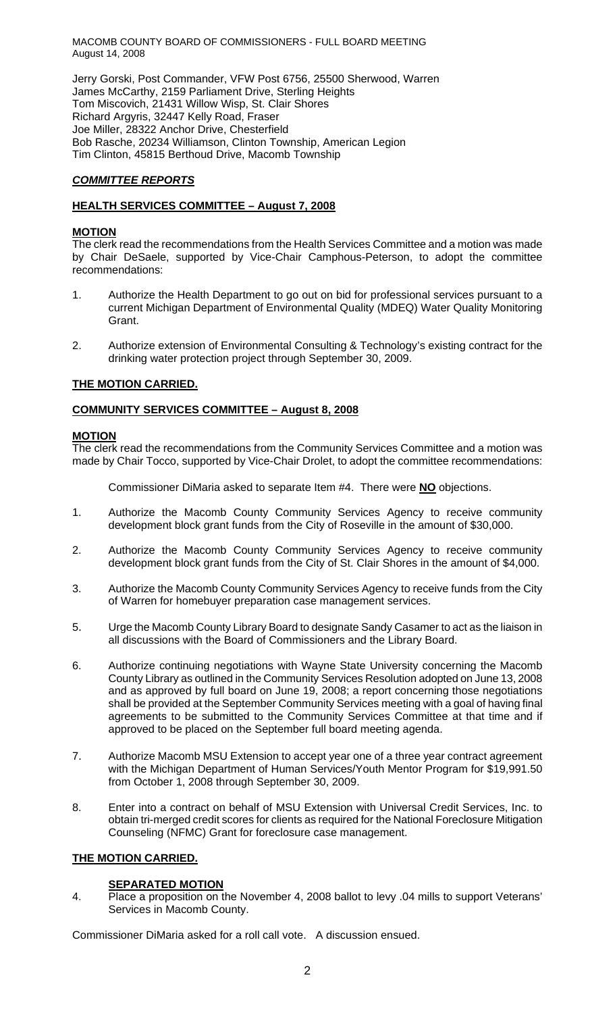MACOMB COUNTY BOARD OF COMMISSIONERS - FULL BOARD MEETING August 14, 2008

Jerry Gorski, Post Commander, VFW Post 6756, 25500 Sherwood, Warren James McCarthy, 2159 Parliament Drive, Sterling Heights Tom Miscovich, 21431 Willow Wisp, St. Clair Shores Richard Argyris, 32447 Kelly Road, Fraser Joe Miller, 28322 Anchor Drive, Chesterfield Bob Rasche, 20234 Williamson, Clinton Township, American Legion Tim Clinton, 45815 Berthoud Drive, Macomb Township

## *COMMITTEE REPORTS*

## **HEALTH SERVICES COMMITTEE – August 7, 2008**

## **MOTION**

The clerk read the recommendations from the Health Services Committee and a motion was made by Chair DeSaele, supported by Vice-Chair Camphous-Peterson, to adopt the committee recommendations:

- 1. Authorize the Health Department to go out on bid for professional services pursuant to a current Michigan Department of Environmental Quality (MDEQ) Water Quality Monitoring Grant.
- 2. Authorize extension of Environmental Consulting & Technology's existing contract for the drinking water protection project through September 30, 2009.

## **THE MOTION CARRIED.**

## **COMMUNITY SERVICES COMMITTEE – August 8, 2008**

### **MOTION**

The clerk read the recommendations from the Community Services Committee and a motion was made by Chair Tocco, supported by Vice-Chair Drolet, to adopt the committee recommendations:

Commissioner DiMaria asked to separate Item #4. There were **NO** objections.

- 1. Authorize the Macomb County Community Services Agency to receive community development block grant funds from the City of Roseville in the amount of \$30,000.
- 2. Authorize the Macomb County Community Services Agency to receive community development block grant funds from the City of St. Clair Shores in the amount of \$4,000.
- 3. Authorize the Macomb County Community Services Agency to receive funds from the City of Warren for homebuyer preparation case management services.
- 5. Urge the Macomb County Library Board to designate Sandy Casamer to act as the liaison in all discussions with the Board of Commissioners and the Library Board.
- 6. Authorize continuing negotiations with Wayne State University concerning the Macomb County Library as outlined in the Community Services Resolution adopted on June 13, 2008 and as approved by full board on June 19, 2008; a report concerning those negotiations shall be provided at the September Community Services meeting with a goal of having final agreements to be submitted to the Community Services Committee at that time and if approved to be placed on the September full board meeting agenda.
- 7. Authorize Macomb MSU Extension to accept year one of a three year contract agreement with the Michigan Department of Human Services/Youth Mentor Program for \$19,991.50 from October 1, 2008 through September 30, 2009.
- 8. Enter into a contract on behalf of MSU Extension with Universal Credit Services, Inc. to obtain tri-merged credit scores for clients as required for the National Foreclosure Mitigation Counseling (NFMC) Grant for foreclosure case management.

## **THE MOTION CARRIED.**

## **SEPARATED MOTION**

4. Place a proposition on the November 4, 2008 ballot to levy .04 mills to support Veterans' Services in Macomb County.

Commissioner DiMaria asked for a roll call vote. A discussion ensued.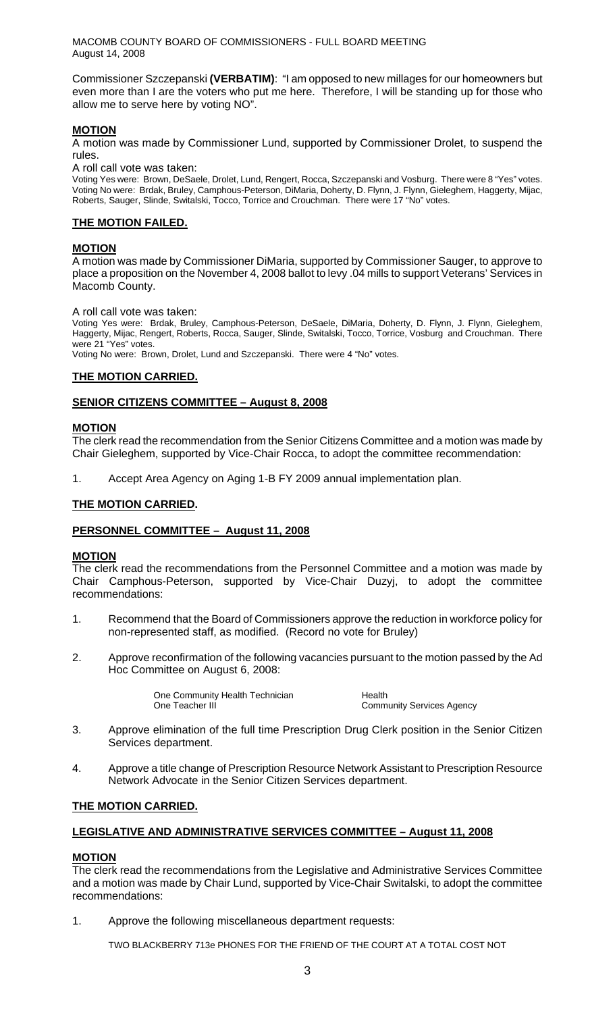MACOMB COUNTY BOARD OF COMMISSIONERS - FULL BOARD MEETING August 14, 2008

Commissioner Szczepanski **(VERBATIM)**: "I am opposed to new millages for our homeowners but even more than I are the voters who put me here. Therefore, I will be standing up for those who allow me to serve here by voting NO".

## **MOTION**

A motion was made by Commissioner Lund, supported by Commissioner Drolet, to suspend the rules.

A roll call vote was taken:

Voting Yes were: Brown, DeSaele, Drolet, Lund, Rengert, Rocca, Szczepanski and Vosburg. There were 8 "Yes" votes. Voting No were: Brdak, Bruley, Camphous-Peterson, DiMaria, Doherty, D. Flynn, J. Flynn, Gieleghem, Haggerty, Mijac, Roberts, Sauger, Slinde, Switalski, Tocco, Torrice and Crouchman. There were 17 "No" votes.

## **THE MOTION FAILED.**

### **MOTION**

A motion was made by Commissioner DiMaria, supported by Commissioner Sauger, to approve to place a proposition on the November 4, 2008 ballot to levy .04 mills to support Veterans' Services in Macomb County.

A roll call vote was taken:

Voting Yes were: Brdak, Bruley, Camphous-Peterson, DeSaele, DiMaria, Doherty, D. Flynn, J. Flynn, Gieleghem, Haggerty, Mijac, Rengert, Roberts, Rocca, Sauger, Slinde, Switalski, Tocco, Torrice, Vosburg and Crouchman. There were 21 "Yes" votes.

Voting No were: Brown, Drolet, Lund and Szczepanski. There were 4 "No" votes.

### **THE MOTION CARRIED.**

### **SENIOR CITIZENS COMMITTEE – August 8, 2008**

#### **MOTION**

The clerk read the recommendation from the Senior Citizens Committee and a motion was made by Chair Gieleghem, supported by Vice-Chair Rocca, to adopt the committee recommendation:

1. Accept Area Agency on Aging 1-B FY 2009 annual implementation plan.

### **THE MOTION CARRIED.**

#### **PERSONNEL COMMITTEE – August 11, 2008**

#### **MOTION**

The clerk read the recommendations from the Personnel Committee and a motion was made by Chair Camphous-Peterson, supported by Vice-Chair Duzyj, to adopt the committee recommendations:

- 1. Recommend that the Board of Commissioners approve the reduction in workforce policy for non-represented staff, as modified. (Record no vote for Bruley)
- 2. Approve reconfirmation of the following vacancies pursuant to the motion passed by the Ad Hoc Committee on August 6, 2008:

One Community Health Technician **Health**<br>
One Teacher III

Community Services Agency

- 3. Approve elimination of the full time Prescription Drug Clerk position in the Senior Citizen Services department.
- 4. Approve a title change of Prescription Resource Network Assistant to Prescription Resource Network Advocate in the Senior Citizen Services department.

#### **THE MOTION CARRIED.**

## **LEGISLATIVE AND ADMINISTRATIVE SERVICES COMMITTEE – August 11, 2008**

#### **MOTION**

The clerk read the recommendations from the Legislative and Administrative Services Committee and a motion was made by Chair Lund, supported by Vice-Chair Switalski, to adopt the committee recommendations:

1. Approve the following miscellaneous department requests:

TWO BLACKBERRY 713e PHONES FOR THE FRIEND OF THE COURT AT A TOTAL COST NOT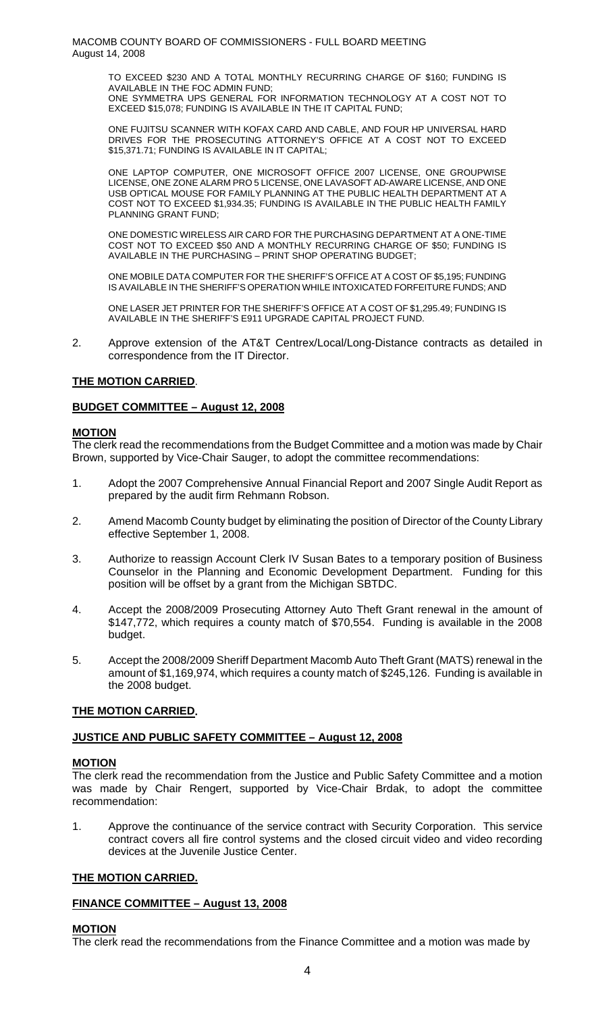TO EXCEED \$230 AND A TOTAL MONTHLY RECURRING CHARGE OF \$160; FUNDING IS AVAILABLE IN THE FOC ADMIN FUND; ONE SYMMETRA UPS GENERAL FOR INFORMATION TECHNOLOGY AT A COST NOT TO

EXCEED \$15,078; FUNDING IS AVAILABLE IN THE IT CAPITAL FUND;

ONE FUJITSU SCANNER WITH KOFAX CARD AND CABLE, AND FOUR HP UNIVERSAL HARD DRIVES FOR THE PROSECUTING ATTORNEY'S OFFICE AT A COST NOT TO EXCEED \$15,371.71; FUNDING IS AVAILABLE IN IT CAPITAL;

ONE LAPTOP COMPUTER, ONE MICROSOFT OFFICE 2007 LICENSE, ONE GROUPWISE LICENSE, ONE ZONE ALARM PRO 5 LICENSE, ONE LAVASOFT AD-AWARE LICENSE, AND ONE USB OPTICAL MOUSE FOR FAMILY PLANNING AT THE PUBLIC HEALTH DEPARTMENT AT A COST NOT TO EXCEED \$1,934.35; FUNDING IS AVAILABLE IN THE PUBLIC HEALTH FAMILY PLANNING GRANT FUND;

ONE DOMESTIC WIRELESS AIR CARD FOR THE PURCHASING DEPARTMENT AT A ONE-TIME COST NOT TO EXCEED \$50 AND A MONTHLY RECURRING CHARGE OF \$50; FUNDING IS AVAILABLE IN THE PURCHASING – PRINT SHOP OPERATING BUDGET;

ONE MOBILE DATA COMPUTER FOR THE SHERIFF'S OFFICE AT A COST OF \$5,195; FUNDING IS AVAILABLE IN THE SHERIFF'S OPERATION WHILE INTOXICATED FORFEITURE FUNDS; AND

ONE LASER JET PRINTER FOR THE SHERIFF'S OFFICE AT A COST OF \$1,295.49; FUNDING IS AVAILABLE IN THE SHERIFF'S E911 UPGRADE CAPITAL PROJECT FUND.

2. Approve extension of the AT&T Centrex/Local/Long-Distance contracts as detailed in correspondence from the IT Director.

## **THE MOTION CARRIED**.

## **BUDGET COMMITTEE – August 12, 2008**

## **MOTION**

The clerk read the recommendations from the Budget Committee and a motion was made by Chair Brown, supported by Vice-Chair Sauger, to adopt the committee recommendations:

- 1. Adopt the 2007 Comprehensive Annual Financial Report and 2007 Single Audit Report as prepared by the audit firm Rehmann Robson.
- 2. Amend Macomb County budget by eliminating the position of Director of the County Library effective September 1, 2008.
- 3. Authorize to reassign Account Clerk IV Susan Bates to a temporary position of Business Counselor in the Planning and Economic Development Department. Funding for this position will be offset by a grant from the Michigan SBTDC.
- 4. Accept the 2008/2009 Prosecuting Attorney Auto Theft Grant renewal in the amount of \$147,772, which requires a county match of \$70,554. Funding is available in the 2008 budget.
- 5. Accept the 2008/2009 Sheriff Department Macomb Auto Theft Grant (MATS) renewal in the amount of \$1,169,974, which requires a county match of \$245,126. Funding is available in the 2008 budget.

## **THE MOTION CARRIED.**

## **JUSTICE AND PUBLIC SAFETY COMMITTEE – August 12, 2008**

## **MOTION**

The clerk read the recommendation from the Justice and Public Safety Committee and a motion was made by Chair Rengert, supported by Vice-Chair Brdak, to adopt the committee recommendation:

1. Approve the continuance of the service contract with Security Corporation. This service contract covers all fire control systems and the closed circuit video and video recording devices at the Juvenile Justice Center.

## **THE MOTION CARRIED.**

## **FINANCE COMMITTEE – August 13, 2008**

## **MOTION**

The clerk read the recommendations from the Finance Committee and a motion was made by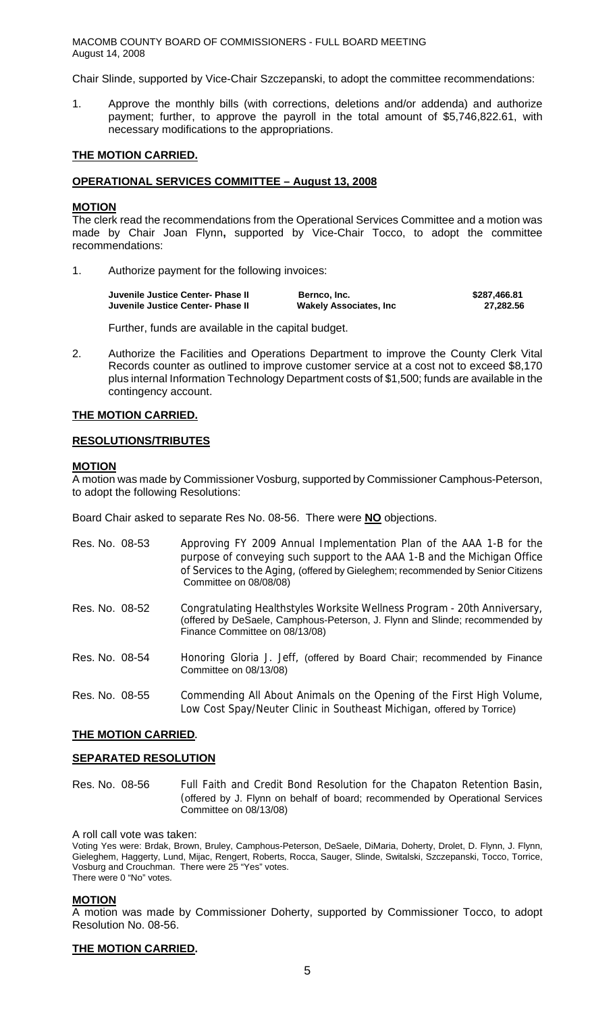MACOMB COUNTY BOARD OF COMMISSIONERS - FULL BOARD MEETING August 14, 2008

Chair Slinde, supported by Vice-Chair Szczepanski, to adopt the committee recommendations:

1. Approve the monthly bills (with corrections, deletions and/or addenda) and authorize payment; further, to approve the payroll in the total amount of \$5,746,822.61, with necessary modifications to the appropriations.

#### **THE MOTION CARRIED.**

#### **OPERATIONAL SERVICES COMMITTEE – August 13, 2008**

#### **MOTION**

The clerk read the recommendations from the Operational Services Committee and a motion was made by Chair Joan Flynn**,** supported by Vice-Chair Tocco, to adopt the committee recommendations:

1. Authorize payment for the following invoices:

| Juvenile Justice Center- Phase II | Bernco, Inc.                   | \$287,466.81 |
|-----------------------------------|--------------------------------|--------------|
| Juvenile Justice Center- Phase II | <b>Wakely Associates, Inc.</b> | 27.282.56    |

Further, funds are available in the capital budget.

2. Authorize the Facilities and Operations Department to improve the County Clerk Vital Records counter as outlined to improve customer service at a cost not to exceed \$8,170 plus internal Information Technology Department costs of \$1,500; funds are available in the contingency account.

### **THE MOTION CARRIED.**

#### **RESOLUTIONS/TRIBUTES**

#### **MOTION**

A motion was made by Commissioner Vosburg, supported by Commissioner Camphous-Peterson, to adopt the following Resolutions:

Board Chair asked to separate Res No. 08-56. There were **NO** objections.

| Res. No. 08-53 | Approving FY 2009 Annual Implementation Plan of the AAA 1-B for the<br>purpose of conveying such support to the AAA 1-B and the Michigan Office<br>of Services to the Aging, (offered by Gieleghem; recommended by Senior Citizens<br>Committee on 08/08/08) |
|----------------|--------------------------------------------------------------------------------------------------------------------------------------------------------------------------------------------------------------------------------------------------------------|
| Res. No. 08-52 | Congratulating Healthstyles Worksite Wellness Program - 20th Anniversary,<br>(offered by DeSaele, Camphous-Peterson, J. Flynn and Slinde; recommended by<br>Finance Committee on 08/13/08)                                                                   |
| Res. No. 08-54 | Honoring Gloria J. Jeff, (offered by Board Chair; recommended by Finance<br>Committee on 08/13/08)                                                                                                                                                           |
| Res. No. 08-55 | Commending All About Animals on the Opening of the First High Volume,<br>Low Cost Spay/Neuter Clinic in Southeast Michigan, offered by Torrice)                                                                                                              |

#### **THE MOTION CARRIED.**

#### **SEPARATED RESOLUTION**

Res. No. 08-56 Full Faith and Credit Bond Resolution for the Chapaton Retention Basin, (offered by J. Flynn on behalf of board; recommended by Operational Services Committee on 08/13/08)

A roll call vote was taken:

Voting Yes were: Brdak, Brown, Bruley, Camphous-Peterson, DeSaele, DiMaria, Doherty, Drolet, D. Flynn, J. Flynn, Gieleghem, Haggerty, Lund, Mijac, Rengert, Roberts, Rocca, Sauger, Slinde, Switalski, Szczepanski, Tocco, Torrice, Vosburg and Crouchman. There were 25 "Yes" votes. There were 0 "No" votes.

#### **MOTION**

A motion was made by Commissioner Doherty, supported by Commissioner Tocco, to adopt Resolution No. 08-56.

#### **THE MOTION CARRIED.**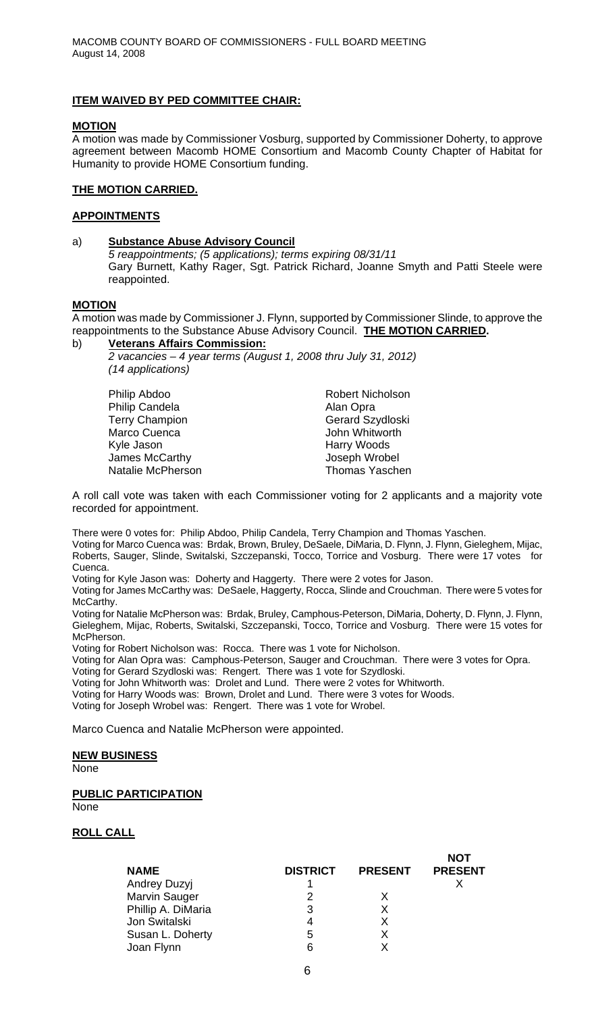## **ITEM WAIVED BY PED COMMITTEE CHAIR:**

#### **MOTION**

A motion was made by Commissioner Vosburg, supported by Commissioner Doherty, to approve agreement between Macomb HOME Consortium and Macomb County Chapter of Habitat for Humanity to provide HOME Consortium funding.

#### **THE MOTION CARRIED.**

### **APPOINTMENTS**

#### a) **Substance Abuse Advisory Council**  *5 reappointments; (5 applications); terms expiring 08/31/11*  Gary Burnett, Kathy Rager, Sgt. Patrick Richard, Joanne Smyth and Patti Steele were reappointed.

#### **MOTION**

A motion was made by Commissioner J. Flynn, supported by Commissioner Slinde, to approve the reappointments to the Substance Abuse Advisory Council. **THE MOTION CARRIED.** 

b) **Veterans Affairs Commission:**

 *2 vacancies – 4 year terms (August 1, 2008 thru July 31, 2012) (14 applications)* 

| Philip Abdoo             |  |
|--------------------------|--|
| <b>Philip Candela</b>    |  |
| <b>Terry Champion</b>    |  |
| Marco Cuenca             |  |
| Kyle Jason               |  |
| James McCarthy           |  |
| <b>Natalie McPherson</b> |  |

Robert Nicholson Alan Opra Gerard Szydloski **John Whitworth** Harry Woods Joseph Wrobel Thomas Yaschen

A roll call vote was taken with each Commissioner voting for 2 applicants and a majority vote recorded for appointment.

There were 0 votes for: Philip Abdoo, Philip Candela, Terry Champion and Thomas Yaschen.

Voting for Marco Cuenca was: Brdak, Brown, Bruley, DeSaele, DiMaria, D. Flynn, J. Flynn, Gieleghem, Mijac, Roberts, Sauger, Slinde, Switalski, Szczepanski, Tocco, Torrice and Vosburg. There were 17 votes for Cuenca.

Voting for Kyle Jason was: Doherty and Haggerty. There were 2 votes for Jason.

Voting for James McCarthy was: DeSaele, Haggerty, Rocca, Slinde and Crouchman. There were 5 votes for McCarthy.

Voting for Natalie McPherson was: Brdak, Bruley, Camphous-Peterson, DiMaria, Doherty, D. Flynn, J. Flynn, Gieleghem, Mijac, Roberts, Switalski, Szczepanski, Tocco, Torrice and Vosburg. There were 15 votes for McPherson.

Voting for Robert Nicholson was: Rocca. There was 1 vote for Nicholson.

Voting for Alan Opra was: Camphous-Peterson, Sauger and Crouchman. There were 3 votes for Opra.

Voting for Gerard Szydloski was: Rengert. There was 1 vote for Szydloski.

Voting for John Whitworth was: Drolet and Lund. There were 2 votes for Whitworth.

Voting for Harry Woods was: Brown, Drolet and Lund. There were 3 votes for Woods.

Voting for Joseph Wrobel was: Rengert. There was 1 vote for Wrobel.

Marco Cuenca and Natalie McPherson were appointed.

## **NEW BUSINESS**

None

# **PUBLIC PARTICIPATION**

None

## **ROLL CALL**

| <b>NAME</b>         | <b>DISTRICT</b> | <b>PRESENT</b> | <b>NOT</b><br><b>PRESENT</b> |
|---------------------|-----------------|----------------|------------------------------|
| <b>Andrey Duzyj</b> |                 |                |                              |
| Marvin Sauger       | 2               |                |                              |
| Phillip A. DiMaria  | 3               |                |                              |
| Jon Switalski       |                 |                |                              |
| Susan L. Doherty    | 5               |                |                              |
| Joan Flynn          | 6               |                |                              |